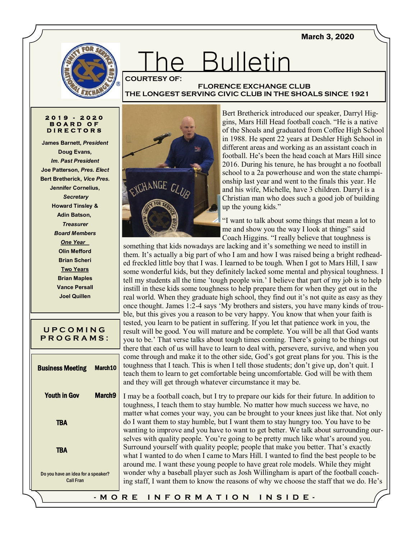March 3, 2020



# The Bulletin **COURTESY OF:**

## **FLORENCE EXCHANGE CLUB THE LONGEST SERVING CIVIC CLUB IN THE SHOALS SINCE 1921**

#### **2 0 1 9 - 2 0 2 0 B O A R D O F D I R E C T O R S**

**James Barnett,** *President* **Doug Evans***, Im. Past President* **Joe Patterson,** *Pres. Elect* **Bert Bretherick,** *Vice Pres.* **Jennifer Cornelius,** *Secretary* **Howard Tinsley & Adin Batson,** *Treasurer Board Members* **One Year Olin Mefford Brian Scheri Two Years Brian Maples Vance Persall Joel Quillen**

| UPCOMING<br><b>PROGRAMS:</b>                           |                    |
|--------------------------------------------------------|--------------------|
| <b>Business Meeting March10</b>                        |                    |
| <b>Youth in Gov</b>                                    | March <sub>9</sub> |
| <b>TBA</b>                                             |                    |
| <b>TBA</b>                                             |                    |
| Do you have an idea for a speaker?<br><b>Call Fran</b> |                    |
|                                                        |                    |



Bert Bretherick introduced our speaker, Darryl Higgins, Mars Hill Head football coach. "He is a native of the Shoals and graduated from Coffee High School in 1988. He spent 22 years at Deshler High School in different areas and working as an assistant coach in football. He's been the head coach at Mars Hill since 2016. During his tenure, he has brought a no football school to a 2a powerhouse and won the state championship last year and went to the finals this year. He and his wife, Michelle, have 3 children. Darryl is a Christian man who does such a good job of building up the young kids."

"I want to talk about some things that mean a lot to me and show you the way I look at things" said Coach Higgins. "I really believe that toughness is

something that kids nowadays are lacking and it's something we need to instill in them. It's actually a big part of who I am and how I was raised being a bright redheaded freckled little boy that I was. I learned to be tough. When I got to Mars Hill, I saw some wonderful kids, but they definitely lacked some mental and physical toughness. I tell my students all the time 'tough people win.' I believe that part of my job is to help instill in these kids some toughness to help prepare them for when they get out in the real world. When they graduate high school, they find out it's not quite as easy as they once thought. James 1:2-4 says 'My brothers and sisters, you have many kinds of trouble, but this gives you a reason to be very happy. You know that when your faith is tested, you learn to be patient in suffering. If you let that patience work in you, the result will be good. You will mature and be complete. You will be all that God wants you to be.' That verse talks about tough times coming. There's going to be things out there that each of us will have to learn to deal with, persevere, survive, and when you come through and make it to the other side, God's got great plans for you. This is the toughness that I teach. This is when I tell those students; don't give up, don't quit. I teach them to learn to get comfortable being uncomfortable. God will be with them and they will get through whatever circumstance it may be.

I may be a football coach, but I try to prepare our kids for their future. In addition to toughness, I teach them to stay humble. No matter how much success we have, no matter what comes your way, you can be brought to your knees just like that. Not only do I want them to stay humble, but I want them to stay hungry too. You have to be wanting to improve and you have to want to get better. We talk about surrounding ourselves with quality people. You're going to be pretty much like what's around you. Surround yourself with quality people; people that make you better. That's exactly what I wanted to do when I came to Mars Hill. I wanted to find the best people to be around me. I want these young people to have great role models. While they might wonder why a baseball player such as Josh Willingham is apart of the football coaching staff, I want them to know the reasons of why we choose the staff that we do. He's

## **- M O R E I N F O R M A T I O N I N S I D E -**